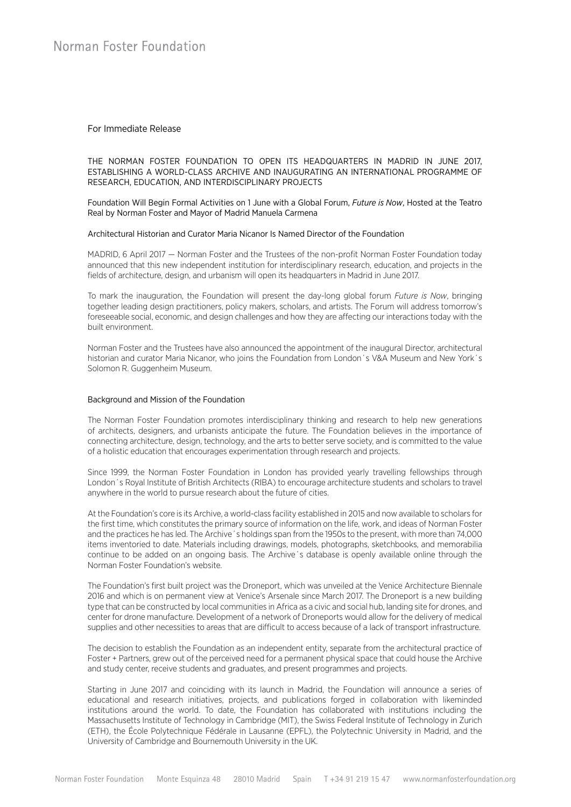### For Immediate Release

THE NORMAN FOSTER FOUNDATION TO OPEN ITS HEADQUARTERS IN MADRID IN JUNE 2017, ESTABLISHING A WORLD-CLASS ARCHIVE AND INAUGURATING AN INTERNATIONAL PROGRAMME OF RESEARCH, EDUCATION, AND INTERDISCIPLINARY PROJECTS

Foundation Will Begin Formal Activities on 1 June with a Global Forum, *Future is Now*, Hosted at the Teatro Real by Norman Foster and Mayor of Madrid Manuela Carmena

#### Architectural Historian and Curator Maria Nicanor Is Named Director of the Foundation

MADRID, 6 April 2017 — Norman Foster and the Trustees of the non-profit Norman Foster Foundation today announced that this new independent institution for interdisciplinary research, education, and projects in the fields of architecture, design, and urbanism will open its headquarters in Madrid in June 2017.

To mark the inauguration, the Foundation will present the day-long global forum *Future is Now*, bringing together leading design practitioners, policy makers, scholars, and artists. The Forum will address tomorrow's foreseeable social, economic, and design challenges and how they are affecting our interactions today with the built environment.

Norman Foster and the Trustees have also announced the appointment of the inaugural Director, architectural historian and curator Maria Nicanor, who joins the Foundation from London's V&A Museum and New York's Solomon R. Guggenheim Museum.

#### Background and Mission of the Foundation

The Norman Foster Foundation promotes interdisciplinary thinking and research to help new generations of architects, designers, and urbanists anticipate the future. The Foundation believes in the importance of connecting architecture, design, technology, and the arts to better serve society, and is committed to the value of a holistic education that encourages experimentation through research and projects.

Since 1999, the Norman Foster Foundation in London has provided yearly travelling fellowships through London´s Royal Institute of British Architects (RIBA) to encourage architecture students and scholars to travel anywhere in the world to pursue research about the future of cities.

At the Foundation's core is its Archive, a world-class facility established in 2015 and now available to scholars for the first time, which constitutes the primary source of information on the life, work, and ideas of Norman Foster and the practices he has led. The Archive´s holdings span from the 1950s to the present, with more than 74,000 items inventoried to date. Materials including drawings, models, photographs, sketchbooks, and memorabilia continue to be added on an ongoing basis. The Archive´s database is openly available online through the Norman Foster Foundation's website.

The Foundation's first built project was the Droneport, which was unveiled at the Venice Architecture Biennale 2016 and which is on permanent view at Venice's Arsenale since March 2017. The Droneport is a new building type that can be constructed by local communities in Africa as a civic and social hub, landing site for drones, and center for drone manufacture. Development of a network of Droneports would allow for the delivery of medical supplies and other necessities to areas that are difficult to access because of a lack of transport infrastructure.

The decision to establish the Foundation as an independent entity, separate from the architectural practice of Foster + Partners, grew out of the perceived need for a permanent physical space that could house the Archive and study center, receive students and graduates, and present programmes and projects.

Starting in June 2017 and coinciding with its launch in Madrid, the Foundation will announce a series of educational and research initiatives, projects, and publications forged in collaboration with likeminded institutions around the world. To date, the Foundation has collaborated with institutions including the Massachusetts Institute of Technology in Cambridge (MIT), the Swiss Federal Institute of Technology in Zurich (ETH), the École Polytechnique Fédérale in Lausanne (EPFL), the Polytechnic University in Madrid, and the University of Cambridge and Bournemouth University in the UK.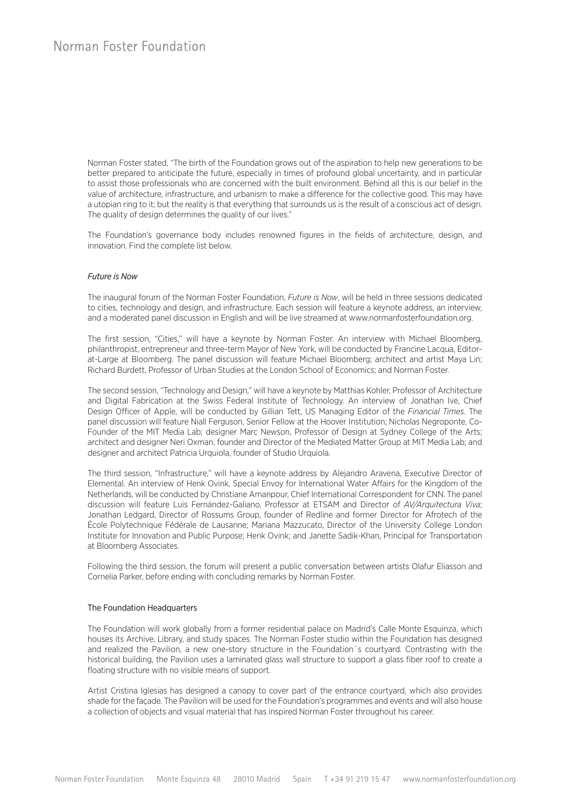Norman Foster stated, "The birth of the Foundation grows out of the aspiration to help new generations to be better prepared to anticipate the future, especially in times of profound global uncertainty, and in particular to assist those professionals who are concerned with the built environment. Behind all this is our belief in the value of architecture, infrastructure, and urbanism to make a difference for the collective good. This may have a utopian ring to it; but the reality is that everything that surrounds us is the result of a conscious act of design. The quality of design determines the quality of our lives."

The Foundation's governance body includes renowned figures in the fields of architecture, design, and innovation. Find the complete list below.

#### *Future is Now*

The inaugural forum of the Norman Foster Foundation, *Future is Now*, will be held in three sessions dedicated to cities, technology and design, and infrastructure. Each session will feature a keynote address, an interview, and a moderated panel discussion in English and will be live streamed at www.normanfosterfoundation.org.

The first session, "Cities," will have a keynote by Norman Foster. An interview with Michael Bloomberg, philanthropist, entrepreneur and three-term Mayor of New York, will be conducted by Francine Lacqua, Editorat-Large at Bloomberg. The panel discussion will feature Michael Bloomberg; architect and artist Maya Lin; Richard Burdett, Professor of Urban Studies at the London School of Economics; and Norman Foster.

The second session, "Technology and Design," will have a keynote by Matthias Kohler, Professor of Architecture and Digital Fabrication at the Swiss Federal Institute of Technology. An interview of Jonathan Ive, Chief Design Officer of Apple, will be conducted by Gillian Tett, US Managing Editor of the *Financial Times.* The panel discussion will feature Niall Ferguson, Senior Fellow at the Hoover Institution; Nicholas Negroponte, Co-Founder of the MIT Media Lab; designer Marc Newson, Professor of Design at Sydney College of the Arts; architect and designer Neri Oxman, founder and Director of the Mediated Matter Group at MIT Media Lab; and designer and architect Patricia Urquiola, founder of Studio Urquiola.

The third session, "Infrastructure," will have a keynote address by Alejandro Aravena, Executive Director of Elemental. An interview of Henk Ovink, Special Envoy for International Water Affairs for the Kingdom of the Netherlands, will be conducted by Christiane Amanpour, Chief International Correspondent for CNN. The panel discussion will feature Luis Fernández-Galiano, Professor at ETSAM and Director of *AV/Arquitectura Viva*; Jonathan Ledgard, Director of Rossums Group, founder of Redline and former Director for Afrotech of the École Polytechnique Fédérale de Lausanne; Mariana Mazzucato, Director of the University College London Institute for Innovation and Public Purpose; Henk Ovink; and Janette Sadik-Khan, Principal for Transportation at Bloomberg Associates.

Following the third session, the forum will present a public conversation between artists Olafur Eliasson and Cornelia Parker, before ending with concluding remarks by Norman Foster.

#### The Foundation Headquarters

The Foundation will work globally from a former residential palace on Madrid's Calle Monte Esquinza, which houses its Archive, Library, and study spaces. The Norman Foster studio within the Foundation has designed and realized the Pavilion, a new one-story structure in the Foundation´s courtyard. Contrasting with the historical building, the Pavilion uses a laminated glass wall structure to support a glass fiber roof to create a floating structure with no visible means of support.

Artist Cristina Iglesias has designed a canopy to cover part of the entrance courtyard, which also provides shade for the façade. The Pavilion will be used for the Foundation's programmes and events and will also house a collection of objects and visual material that has inspired Norman Foster throughout his career.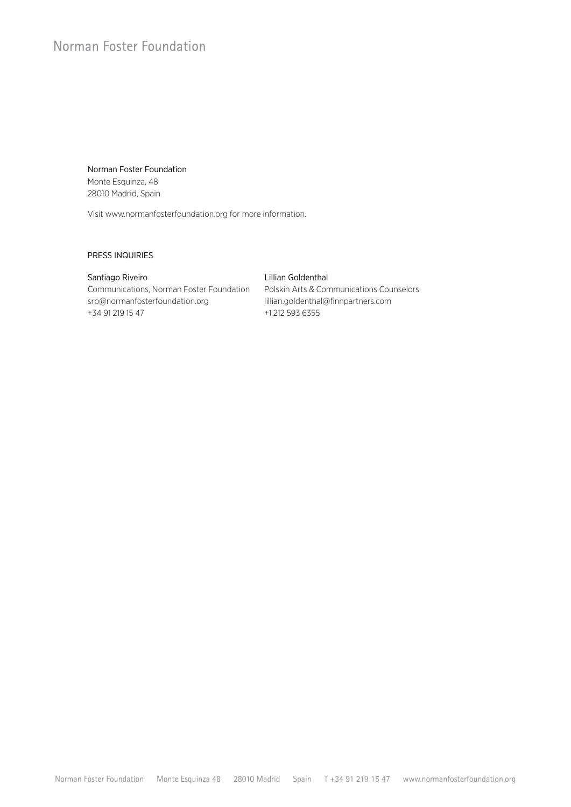# Norman Foster Foundation

# Norman Foster Foundation Monte Esquinza, 48 28010 Madrid, Spain

Visit www.normanfosterfoundation.org for more information.

### PRESS INQUIRIES

### Santiago Riveiro **Lillian Goldenthal**

# Communications, Norman Foster Foundation Polskin Arts & Communications Counselors srp@normanfosterfoundation.org lillian.goldenthal@finnpartners.com +34 91 219 15 47 +1 212 593 6355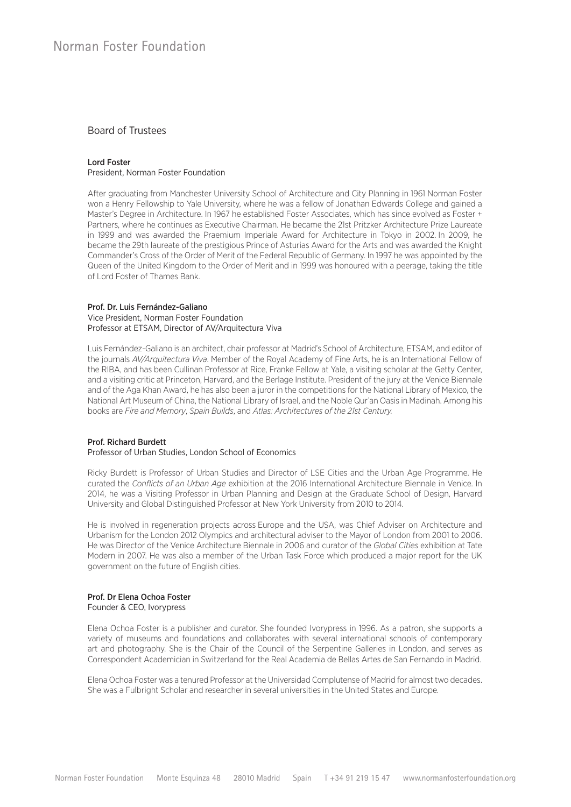## Board of Trustees

#### Lord Foster President, Norman Foster Foundation

After graduating from Manchester University School of Architecture and City Planning in 1961 Norman Foster won a Henry Fellowship to Yale University, where he was a fellow of Jonathan Edwards College and gained a Master's Degree in Architecture. In 1967 he established Foster Associates, which has since evolved as Foster + Partners, where he continues as Executive Chairman. He became the 21st Pritzker Architecture Prize Laureate in 1999 and was awarded the Praemium Imperiale Award for Architecture in Tokyo in 2002. In 2009, he became the 29th laureate of the prestigious Prince of Asturias Award for the Arts and was awarded the Knight Commander's Cross of the Order of Merit of the Federal Republic of Germany. In 1997 he was appointed by the Queen of the United Kingdom to the Order of Merit and in 1999 was honoured with a peerage, taking the title of Lord Foster of Thames Bank.

#### Prof. Dr. Luis Fernández-Galiano Vice President, Norman Foster Foundation Professor at ETSAM, Director of AV/Arquitectura Viva

Luis Fernández-Galiano is an architect, chair professor at Madrid's School of Architecture, ETSAM, and editor of the journals *AV/Arquitectura Viva*. Member of the Royal Academy of Fine Arts, he is an International Fellow of the RIBA, and has been Cullinan Professor at Rice, Franke Fellow at Yale, a visiting scholar at the Getty Center, and a visiting critic at Princeton, Harvard, and the Berlage Institute. President of the jury at the Venice Biennale and of the Aga Khan Award, he has also been a juror in the competitions for the National Library of Mexico, the National Art Museum of China, the National Library of Israel, and the Noble Qur'an Oasis in Madinah. Among his books are *Fire and Memory*, *Spain Builds*, and *Atlas: Architectures of the 21st Century.* 

#### Prof. Richard Burdett

#### Professor of Urban Studies, London School of Economics

Ricky Burdett is Professor of Urban Studies and Director of LSE Cities and the Urban Age Programme. He curated the *Conflicts of an Urban Age* exhibition at the 2016 International Architecture Biennale in Venice. In 2014, he was a Visiting Professor in Urban Planning and Design at the Graduate School of Design, Harvard University and Global Distinguished Professor at New York University from 2010 to 2014.

He is involved in regeneration projects across Europe and the USA, was Chief Adviser on Architecture and Urbanism for the London 2012 Olympics and architectural adviser to the Mayor of London from 2001 to 2006. He was Director of the Venice Architecture Biennale in 2006 and curator of the *Global Cities* exhibition at Tate Modern in 2007. He was also a member of the Urban Task Force which produced a major report for the UK government on the future of English cities.

#### Prof. Dr Elena Ochoa Foster Founder & CEO, Ivorypress

Elena Ochoa Foster is a publisher and curator. She founded Ivorypress in 1996. As a patron, she supports a variety of museums and foundations and collaborates with several international schools of contemporary art and photography. She is the Chair of the Council of the Serpentine Galleries in London, and serves as Correspondent Academician in Switzerland for the Real Academia de Bellas Artes de San Fernando in Madrid.

Elena Ochoa Foster was a tenured Professor at the Universidad Complutense of Madrid for almost two decades. She was a Fulbright Scholar and researcher in several universities in the United States and Europe.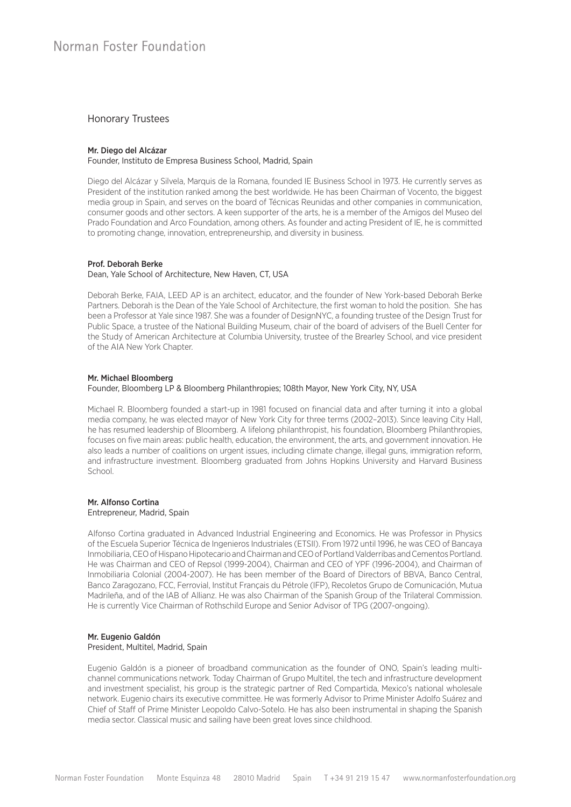# Honorary Trustees

#### Mr. Diego del Alcázar

Founder, Instituto de Empresa Business School, Madrid, Spain

Diego del Alcázar y Silvela, Marquis de la Romana, founded IE Business School in 1973. He currently serves as President of the institution ranked among the best worldwide. He has been Chairman of Vocento, the biggest media group in Spain, and serves on the board of Técnicas Reunidas and other companies in communication, consumer goods and other sectors. A keen supporter of the arts, he is a member of the Amigos del Museo del Prado Foundation and Arco Foundation, among others. As founder and acting President of IE, he is committed to promoting change, innovation, entrepreneurship, and diversity in business.

#### Prof. Deborah Berke

#### Dean, Yale School of Architecture, New Haven, CT, USA

Deborah Berke, FAIA, LEED AP is an architect, educator, and the founder of New York-based Deborah Berke Partners. Deborah is the Dean of the Yale School of Architecture, the first woman to hold the position. She has been a Professor at Yale since 1987. She was a founder of DesignNYC, a founding trustee of the Design Trust for Public Space, a trustee of the National Building Museum, chair of the board of advisers of the Buell Center for the Study of American Architecture at Columbia University, trustee of the Brearley School, and vice president of the AIA New York Chapter.

#### Mr. Michael Bloomberg

#### Founder, Bloomberg LP & Bloomberg Philanthropies; 108th Mayor, New York City, NY, USA

Michael R. Bloomberg founded a start-up in 1981 focused on financial data and after turning it into a global media company, he was elected mayor of New York City for three terms (2002–2013). Since leaving City Hall, he has resumed leadership of Bloomberg. A lifelong philanthropist, his foundation, Bloomberg Philanthropies, focuses on five main areas: public health, education, the environment, the arts, and government innovation. He also leads a number of coalitions on urgent issues, including climate change, illegal guns, immigration reform, and infrastructure investment. Bloomberg graduated from Johns Hopkins University and Harvard Business School.

#### Mr. Alfonso Cortina Entrepreneur, Madrid, Spain

Alfonso Cortina graduated in Advanced Industrial Engineering and Economics. He was Professor in Physics of the Escuela Superior Técnica de Ingenieros Industriales (ETSII). From 1972 until 1996, he was CEO of Bancaya Inmobiliaria, CEO of Hispano Hipotecario and Chairman and CEO of Portland Valderribas and Cementos Portland. He was Chairman and CEO of Repsol (1999-2004), Chairman and CEO of YPF (1996-2004), and Chairman of Inmobiliaria Colonial (2004-2007). He has been member of the Board of Directors of BBVA, Banco Central, Banco Zaragozano, FCC, Ferrovial, Institut Français du Pétrole (IFP), Recoletos Grupo de Comunicación, Mutua Madrileña, and of the IAB of Allianz. He was also Chairman of the Spanish Group of the Trilateral Commission. He is currently Vice Chairman of Rothschild Europe and Senior Advisor of TPG (2007-ongoing).

#### Mr. Eugenio Galdón President, Multitel, Madrid, Spain

Eugenio Galdón is a pioneer of broadband communication as the founder of ONO, Spain's leading multichannel communications network. Today Chairman of Grupo Multitel, the tech and infrastructure development and investment specialist, his group is the strategic partner of Red Compartida, Mexico's national wholesale network. Eugenio chairs its executive committee. He was formerly Advisor to Prime Minister Adolfo Suárez and Chief of Staff of Prime Minister Leopoldo Calvo-Sotelo. He has also been instrumental in shaping the Spanish media sector. Classical music and sailing have been great loves since childhood.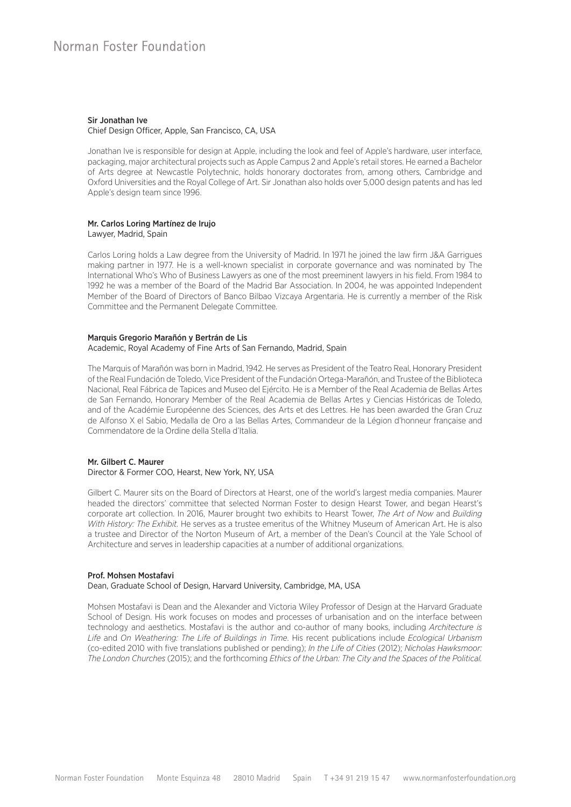### Sir Jonathan Ive

Chief Design Officer, Apple, San Francisco, CA, USA

Jonathan Ive is responsible for design at Apple, including the look and feel of Apple's hardware, user interface, packaging, major architectural projects such as Apple Campus 2 and Apple's retail stores. He earned a Bachelor of Arts degree at Newcastle Polytechnic, holds honorary doctorates from, among others, Cambridge and Oxford Universities and the Royal College of Art. Sir Jonathan also holds over 5,000 design patents and has led Apple's design team since 1996.

#### Mr. Carlos Loring Martínez de Irujo Lawyer, Madrid, Spain

Carlos Loring holds a Law degree from the University of Madrid. In 1971 he joined the law firm J&A Garrigues making partner in 1977. He is a well-known specialist in corporate governance and was nominated by The International Who's Who of Business Lawyers as one of the most preeminent lawyers in his field. From 1984 to 1992 he was a member of the Board of the Madrid Bar Association. In 2004, he was appointed Independent Member of the Board of Directors of Banco Bilbao Vizcaya Argentaria. He is currently a member of the Risk Committee and the Permanent Delegate Committee.

#### Marquis Gregorio Marañón y Bertrán de Lis

#### Academic, Royal Academy of Fine Arts of San Fernando, Madrid, Spain

The Marquis of Marañón was born in Madrid, 1942. He serves as President of the Teatro Real, Honorary President of the Real Fundación de Toledo, Vice President of the Fundación Ortega-Marañón, and Trustee of the Biblioteca Nacional, Real Fábrica de Tapices and Museo del Ejército. He is a Member of the Real Academia de Bellas Artes de San Fernando, Honorary Member of the Real Academia de Bellas Artes y Ciencias Históricas de Toledo, and of the Académie Européenne des Sciences, des Arts et des Lettres. He has been awarded the Gran Cruz de Alfonso X el Sabio, Medalla de Oro a las Bellas Artes, Commandeur de la Légion d'honneur française and Commendatore de la Ordine della Stella d'Italia.

#### Mr. Gilbert C. Maurer Director & Former COO, Hearst, New York, NY, USA

Gilbert C. Maurer sits on the Board of Directors at Hearst, one of the world's largest media companies. Maurer headed the directors' committee that selected Norman Foster to design Hearst Tower, and began Hearst's corporate art collection. In 2016, Maurer brought two exhibits to Hearst Tower, *The Art of Now* and *Building With History: The Exhibit.* He serves as a trustee emeritus of the Whitney Museum of American Art. He is also a trustee and Director of the Norton Museum of Art, a member of the Dean's Council at the Yale School of Architecture and serves in leadership capacities at a number of additional organizations.

#### Prof. Mohsen Mostafavi

#### Dean, Graduate School of Design, Harvard University, Cambridge, MA, USA

Mohsen Mostafavi is Dean and the Alexander and Victoria Wiley Professor of Design at the Harvard Graduate School of Design. His work focuses on modes and processes of urbanisation and on the interface between technology and aesthetics. Mostafavi is the author and co-author of many books, including *Architecture is Life* and *On Weathering: The Life of Buildings in Time*. His recent publications include *Ecological Urbanism*  (co-edited 2010 with five translations published or pending); *In the Life of Cities* (2012); *Nicholas Hawksmoor: The London Churches* (2015); and the forthcoming *Ethics of the Urban: The City and the Spaces of the Political.*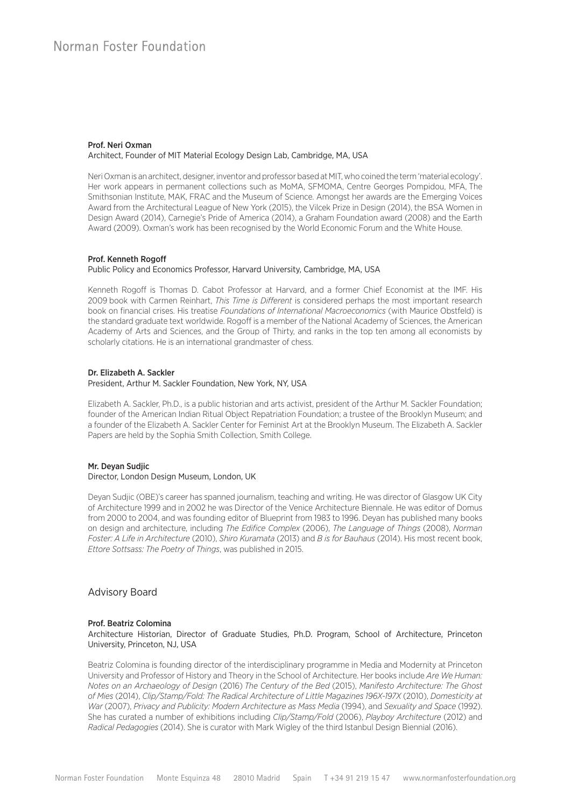#### Prof. Neri Oxman Architect, Founder of MIT Material Ecology Design Lab, Cambridge, MA, USA

Neri Oxman is an architect, designer, inventor and professor based at MIT, who coined the term 'material ecology'. Her work appears in permanent collections such as MoMA, SFMOMA, Centre Georges Pompidou, MFA, The Smithsonian Institute, MAK, FRAC and the Museum of Science. Amongst her awards are the Emerging Voices Award from the Architectural League of New York (2015), the Vilcek Prize in Design (2014), the BSA Women in Design Award (2014), Carnegie's Pride of America (2014), a Graham Foundation award (2008) and the Earth Award (2009). Oxman's work has been recognised by the World Economic Forum and the White House.

#### Prof. Kenneth Rogoff

#### Public Policy and Economics Professor, Harvard University, Cambridge, MA, USA

Kenneth Rogoff is Thomas D. Cabot Professor at Harvard, and a former Chief Economist at the IMF. His 2009 book with Carmen Reinhart, *This Time is Different* is considered perhaps the most important research book on financial crises. His treatise *Foundations of International Macroeconomics* (with Maurice Obstfeld) is the standard graduate text worldwide. Rogoff is a member of the National Academy of Sciences, the American Academy of Arts and Sciences, and the Group of Thirty, and ranks in the top ten among all economists by scholarly citations. He is an international grandmaster of chess.

#### Dr. Elizabeth A. Sackler

#### President, Arthur M. Sackler Foundation, New York, NY, USA

Elizabeth A. Sackler, Ph.D., is a public historian and arts activist, president of the Arthur M. Sackler Foundation; founder of the American Indian Ritual Object Repatriation Foundation; a trustee of the Brooklyn Museum; and a founder of the Elizabeth A. Sackler Center for Feminist Art at the Brooklyn Museum. The Elizabeth A. Sackler Papers are held by the Sophia Smith Collection, Smith College.

#### Mr. Deyan Sudjic Director, London Design Museum, London, UK

Deyan Sudjic (OBE)'s career has spanned journalism, teaching and writing. He was director of Glasgow UK City of Architecture 1999 and in 2002 he was Director of the Venice Architecture Biennale. He was editor of Domus from 2000 to 2004, and was founding editor of Blueprint from 1983 to 1996. Deyan has published many books on design and architecture, including *The Edifice Complex* (2006), *The Language of Things* (2008), *Norman Foster: A Life in Architecture* (2010), *Shiro Kuramata* (2013) and *B is for Bauhaus* (2014). His most recent book, *Ettore Sottsass: The Poetry of Things*, was published in 2015.

# Advisory Board

#### Prof. Beatriz Colomina

Architecture Historian, Director of Graduate Studies, Ph.D. Program, School of Architecture, Princeton University, Princeton, NJ, USA

Beatriz Colomina is founding director of the interdisciplinary programme in Media and Modernity at Princeton University and Professor of History and Theory in the School of Architecture. Her books include *Are We Human: Notes on an Archaeology of Design* (2016) *The Century of the Bed* (2015), *Manifesto Architecture: The Ghost of Mies* (2014), *Clip/Stamp/Fold: The Radical Architecture of Little Magazines 196X-197X* (2010), *Domesticity at War* (2007), *Privacy and Publicity: Modern Architecture as Mass Media* (1994), and *Sexuality and Space* (1992). She has curated a number of exhibitions including *Clip/Stamp/Fold* (2006), *Playboy Architecture* (2012) and *Radical Pedagogies* (2014). She is curator with Mark Wigley of the third Istanbul Design Biennial (2016).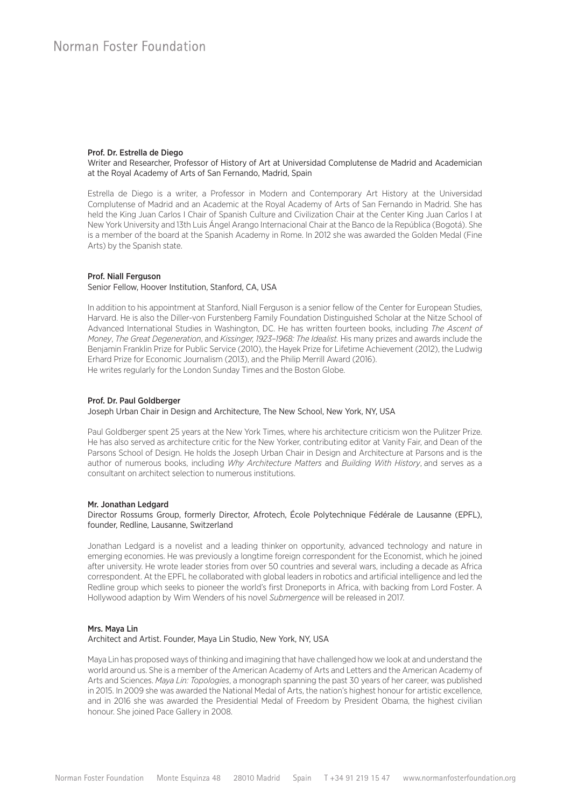#### Prof. Dr. Estrella de Diego

Writer and Researcher, Professor of History of Art at Universidad Complutense de Madrid and Academician at the Royal Academy of Arts of San Fernando, Madrid, Spain

Estrella de Diego is a writer, a Professor in Modern and Contemporary Art History at the Universidad Complutense of Madrid and an Academic at the Royal Academy of Arts of San Fernando in Madrid. She has held the King Juan Carlos I Chair of Spanish Culture and Civilization Chair at the Center King Juan Carlos I at New York University and 13th Luis Ángel Arango Internacional Chair at the Banco de la República (Bogotá). She is a member of the board at the Spanish Academy in Rome. In 2012 she was awarded the Golden Medal (Fine Arts) by the Spanish state.

#### Prof. Niall Ferguson

#### Senior Fellow, Hoover Institution, Stanford, CA, USA

In addition to his appointment at Stanford, Niall Ferguson is a senior fellow of the Center for European Studies, Harvard. He is also the Diller-von Furstenberg Family Foundation Distinguished Scholar at the Nitze School of Advanced International Studies in Washington, DC. He has written fourteen books, including *The Ascent of Money*, *The Great Degeneration*, and *Kissinger, 1923–1968: The Idealist.* His many prizes and awards include the Benjamin Franklin Prize for Public Service (2010), the Hayek Prize for Lifetime Achievement (2012), the Ludwig Erhard Prize for Economic Journalism (2013), and the Philip Merrill Award (2016). He writes regularly for the London Sunday Times and the Boston Globe.

#### Prof. Dr. Paul Goldberger

#### Joseph Urban Chair in Design and Architecture, The New School, New York, NY, USA

Paul Goldberger spent 25 years at the New York Times, where his architecture criticism won the Pulitzer Prize. He has also served as architecture critic for the New Yorker, contributing editor at Vanity Fair, and Dean of the Parsons School of Design. He holds the Joseph Urban Chair in Design and Architecture at Parsons and is the author of numerous books, including *Why Architecture Matters* and *Building With History*, and serves as a consultant on architect selection to numerous institutions.

#### Mr. Jonathan Ledgard

#### Director Rossums Group, formerly Director, Afrotech, École Polytechnique Fédérale de Lausanne (EPFL), founder, Redline, Lausanne, Switzerland

Jonathan Ledgard is a novelist and a leading thinker on opportunity, advanced technology and nature in emerging economies. He was previously a longtime foreign correspondent for the Economist, which he joined after university. He wrote leader stories from over 50 countries and several wars, including a decade as Africa correspondent. At the EPFL he collaborated with global leaders in robotics and artificial intelligence and led the Redline group which seeks to pioneer the world's first Droneports in Africa, with backing from Lord Foster. A Hollywood adaption by Wim Wenders of his novel *Submergence* will be released in 2017.

#### Mrs. Maya Lin

#### Architect and Artist. Founder, Maya Lin Studio, New York, NY, USA

Maya Lin has proposed ways of thinking and imagining that have challenged how we look at and understand the world around us. She is a member of the American Academy of Arts and Letters and the American Academy of Arts and Sciences. *Maya Lin: Topologies*, a monograph spanning the past 30 years of her career, was published in 2015. In 2009 she was awarded the National Medal of Arts, the nation's highest honour for artistic excellence, and in 2016 she was awarded the Presidential Medal of Freedom by President Obama, the highest civilian honour. She joined Pace Gallery in 2008.